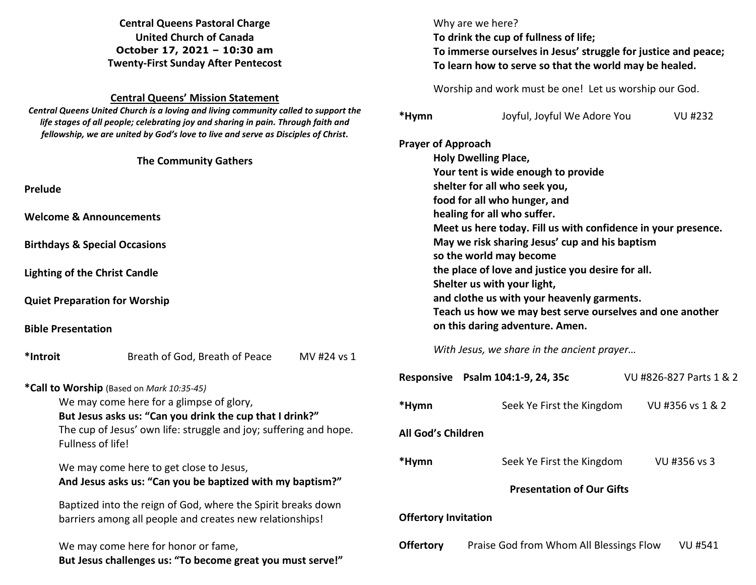**Central Queens Pastoral Charge United Church of Canada October 17, 2021 – 10:30 am Twenty-First Sunday After Pentecost** 

## **Central Queens' Mission Statement**

 *Central Queens United Church is a loving and living community called to support the life stages of all people; celebrating joy and sharing in pain. Through faith and fellowship, we are united by God's love to live and serve as Disciples of Christ***.** 

|                                                                   |                                                                                                                          | <b>Prayer of Approach</b>                                                                                                      |                                                               |                         |  |
|-------------------------------------------------------------------|--------------------------------------------------------------------------------------------------------------------------|--------------------------------------------------------------------------------------------------------------------------------|---------------------------------------------------------------|-------------------------|--|
|                                                                   | <b>The Community Gathers</b>                                                                                             | <b>Holy Dwelling Place,</b>                                                                                                    |                                                               |                         |  |
|                                                                   |                                                                                                                          | Your tent is wide enough to provide                                                                                            |                                                               |                         |  |
| Prelude                                                           |                                                                                                                          | shelter for all who seek you,                                                                                                  |                                                               |                         |  |
|                                                                   |                                                                                                                          |                                                                                                                                | food for all who hunger, and                                  |                         |  |
|                                                                   | <b>Welcome &amp; Announcements</b>                                                                                       | healing for all who suffer.                                                                                                    |                                                               |                         |  |
|                                                                   |                                                                                                                          |                                                                                                                                | Meet us here today. Fill us with confidence in your presence. |                         |  |
|                                                                   | <b>Birthdays &amp; Special Occasions</b>                                                                                 | May we risk sharing Jesus' cup and his baptism<br>so the world may become<br>the place of love and justice you desire for all. |                                                               |                         |  |
|                                                                   |                                                                                                                          |                                                                                                                                |                                                               |                         |  |
|                                                                   | <b>Lighting of the Christ Candle</b>                                                                                     |                                                                                                                                |                                                               |                         |  |
|                                                                   |                                                                                                                          |                                                                                                                                | Shelter us with your light,                                   |                         |  |
|                                                                   | <b>Quiet Preparation for Worship</b>                                                                                     | and clothe us with your heavenly garments.<br>Teach us how we may best serve ourselves and one another                         |                                                               |                         |  |
|                                                                   |                                                                                                                          |                                                                                                                                |                                                               |                         |  |
| <b>Bible Presentation</b>                                         |                                                                                                                          | on this daring adventure. Amen.                                                                                                |                                                               |                         |  |
| *Introit                                                          | Breath of God, Breath of Peace<br>MV #24 vs 1                                                                            | With Jesus, we share in the ancient prayer                                                                                     |                                                               |                         |  |
|                                                                   | *Call to Worship (Based on Mark 10:35-45)                                                                                |                                                                                                                                | Responsive Psalm 104:1-9, 24, 35c                             | VU #826-827 Parts 1 & 2 |  |
| We may come here for a glimpse of glory,                          |                                                                                                                          | *Hymn                                                                                                                          | Seek Ye First the Kingdom                                     | VU #356 vs 1 & 2        |  |
|                                                                   | But Jesus asks us: "Can you drink the cup that I drink?"                                                                 |                                                                                                                                |                                                               |                         |  |
| The cup of Jesus' own life: struggle and joy; suffering and hope. |                                                                                                                          | All God's Children                                                                                                             |                                                               |                         |  |
|                                                                   | Fullness of life!                                                                                                        |                                                                                                                                |                                                               |                         |  |
|                                                                   | We may come here to get close to Jesus,                                                                                  | *Hymn                                                                                                                          | Seek Ye First the Kingdom                                     | VU #356 vs 3            |  |
|                                                                   | And Jesus asks us: "Can you be baptized with my baptism?"                                                                |                                                                                                                                |                                                               |                         |  |
|                                                                   |                                                                                                                          | <b>Presentation of Our Gifts</b>                                                                                               |                                                               |                         |  |
|                                                                   | Baptized into the reign of God, where the Spirit breaks down<br>barriers among all people and creates new relationships! |                                                                                                                                |                                                               |                         |  |
|                                                                   |                                                                                                                          |                                                                                                                                | <b>Offertory Invitation</b>                                   |                         |  |
|                                                                   | We may come here for honor or fame,<br>But Jesus challenges us: "To become great you must serve!"                        | <b>Offertory</b>                                                                                                               | Praise God from Whom All Blessings Flow                       | <b>VU #541</b>          |  |

Why are we here?

 **To drink the cup of fullness of life;**

  **To immerse ourselves in Jesus' struggle for justice and peace; To learn how to serve so that the world may be healed.** 

Worship and work must be one! Let us worship our God.

**\*Hymn** Joyful, Joyful We Adore You VU #232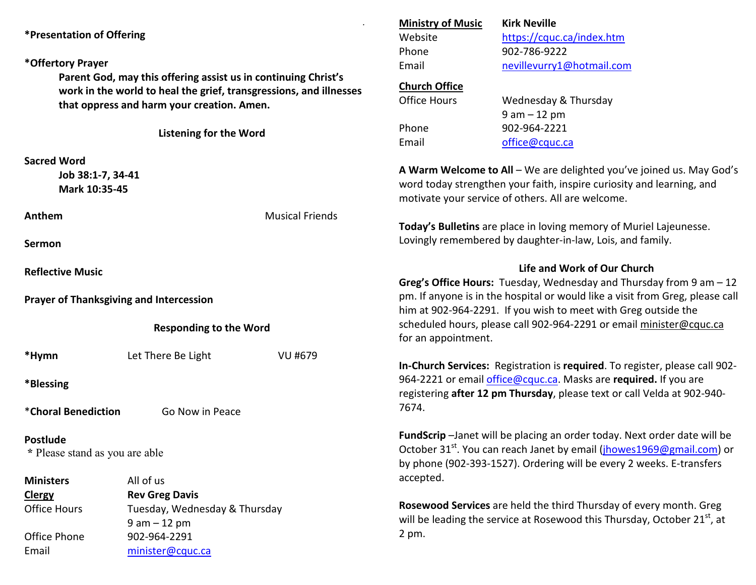| *Presentation of Offering                                                                                                                                                                                           |                                                |                               | <b>Ministry of Music</b>                                                                                                              | <b>Kirk Neville</b>                                                             |  |  |
|---------------------------------------------------------------------------------------------------------------------------------------------------------------------------------------------------------------------|------------------------------------------------|-------------------------------|---------------------------------------------------------------------------------------------------------------------------------------|---------------------------------------------------------------------------------|--|--|
|                                                                                                                                                                                                                     |                                                |                               | Website                                                                                                                               | https://cquc.ca/index.htm                                                       |  |  |
|                                                                                                                                                                                                                     |                                                |                               | Phone                                                                                                                                 | 902-786-9222                                                                    |  |  |
| *Offertory Prayer                                                                                                                                                                                                   |                                                |                               | Email                                                                                                                                 | nevillevurry1@hotmail.com                                                       |  |  |
| Parent God, may this offering assist us in continuing Christ's<br>work in the world to heal the grief, transgressions, and illnesses<br>that oppress and harm your creation. Amen.<br><b>Listening for the Word</b> |                                                |                               | <b>Church Office</b>                                                                                                                  |                                                                                 |  |  |
|                                                                                                                                                                                                                     |                                                |                               | <b>Office Hours</b>                                                                                                                   | Wednesday & Thursday                                                            |  |  |
|                                                                                                                                                                                                                     |                                                |                               |                                                                                                                                       | $9 am - 12 pm$                                                                  |  |  |
|                                                                                                                                                                                                                     |                                                |                               | Phone                                                                                                                                 | 902-964-2221                                                                    |  |  |
|                                                                                                                                                                                                                     |                                                |                               | Email                                                                                                                                 | office@cquc.ca                                                                  |  |  |
|                                                                                                                                                                                                                     |                                                |                               |                                                                                                                                       |                                                                                 |  |  |
| <b>Sacred Word</b>                                                                                                                                                                                                  |                                                |                               |                                                                                                                                       | A Warm Welcome to All - We are delighted you've joined us. May God's            |  |  |
| Job 38:1-7, 34-41                                                                                                                                                                                                   |                                                |                               | word today strengthen your faith, inspire curiosity and learning, and                                                                 |                                                                                 |  |  |
| Mark 10:35-45                                                                                                                                                                                                       |                                                |                               | motivate your service of others. All are welcome.                                                                                     |                                                                                 |  |  |
| Anthem                                                                                                                                                                                                              |                                                | <b>Musical Friends</b>        |                                                                                                                                       |                                                                                 |  |  |
|                                                                                                                                                                                                                     |                                                |                               | Today's Bulletins are place in loving memory of Muriel Lajeunesse.                                                                    |                                                                                 |  |  |
| Sermon                                                                                                                                                                                                              |                                                |                               | Lovingly remembered by daughter-in-law, Lois, and family.                                                                             |                                                                                 |  |  |
|                                                                                                                                                                                                                     |                                                |                               |                                                                                                                                       |                                                                                 |  |  |
| <b>Reflective Music</b>                                                                                                                                                                                             |                                                |                               |                                                                                                                                       | Life and Work of Our Church                                                     |  |  |
|                                                                                                                                                                                                                     |                                                |                               | Greg's Office Hours: Tuesday, Wednesday and Thursday from 9 am - 12                                                                   |                                                                                 |  |  |
|                                                                                                                                                                                                                     | <b>Prayer of Thanksgiving and Intercession</b> |                               |                                                                                                                                       | pm. If anyone is in the hospital or would like a visit from Greg, please call   |  |  |
| <b>Responding to the Word</b>                                                                                                                                                                                       |                                                |                               | him at 902-964-2291. If you wish to meet with Greg outside the<br>scheduled hours, please call 902-964-2291 or email minister@cquc.ca |                                                                                 |  |  |
|                                                                                                                                                                                                                     |                                                |                               |                                                                                                                                       |                                                                                 |  |  |
| *Hymn                                                                                                                                                                                                               | Let There Be Light                             | VU #679                       |                                                                                                                                       |                                                                                 |  |  |
|                                                                                                                                                                                                                     |                                                |                               | In-Church Services: Registration is required. To register, please call 902-                                                           |                                                                                 |  |  |
| *Blessing                                                                                                                                                                                                           |                                                |                               | 964-2221 or email office@cquc.ca. Masks are required. If you are                                                                      |                                                                                 |  |  |
|                                                                                                                                                                                                                     |                                                |                               |                                                                                                                                       | registering after 12 pm Thursday, please text or call Velda at 902-940-         |  |  |
| *Choral Benediction                                                                                                                                                                                                 | Go Now in Peace                                |                               | 7674.                                                                                                                                 |                                                                                 |  |  |
| <b>Postlude</b>                                                                                                                                                                                                     |                                                |                               |                                                                                                                                       | <b>FundScrip</b> -Janet will be placing an order today. Next order date will be |  |  |
| * Please stand as you are able                                                                                                                                                                                      |                                                |                               | October 31 <sup>st</sup> . You can reach Janet by email ( <i>jhowes1969@gmail.com</i> ) or                                            |                                                                                 |  |  |
|                                                                                                                                                                                                                     |                                                |                               |                                                                                                                                       | by phone (902-393-1527). Ordering will be every 2 weeks. E-transfers            |  |  |
| <b>Ministers</b>                                                                                                                                                                                                    | All of us                                      |                               | accepted.                                                                                                                             |                                                                                 |  |  |
| <b>Clergy</b>                                                                                                                                                                                                       | <b>Rev Greg Davis</b>                          |                               |                                                                                                                                       |                                                                                 |  |  |
| <b>Office Hours</b>                                                                                                                                                                                                 |                                                | Tuesday, Wednesday & Thursday |                                                                                                                                       | Rosewood Services are held the third Thursday of every month. Greg              |  |  |
|                                                                                                                                                                                                                     | $9 am - 12 pm$                                 |                               | will be leading the service at Rosewood this Thursday, October 21 <sup>st</sup> , at                                                  |                                                                                 |  |  |
| Office Phone                                                                                                                                                                                                        | 902-964-2291<br>minister@cquc.ca               |                               | 2 pm.                                                                                                                                 |                                                                                 |  |  |
| Email                                                                                                                                                                                                               |                                                |                               |                                                                                                                                       |                                                                                 |  |  |